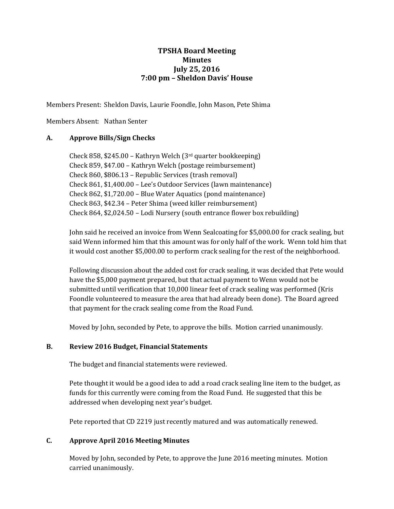# **TPSHA Board Meeting Minutes July 25, 2016 7:00 pm – Sheldon Davis' House**

Members Present: Sheldon Davis, Laurie Foondle, John Mason, Pete Shima

Members Absent: Nathan Senter

# **A. Approve Bills/Sign Checks**

Check 858, \$245.00 – Kathryn Welch (3rd quarter bookkeeping) Check 859, \$47.00 – Kathryn Welch (postage reimbursement) Check 860, \$806.13 – Republic Services (trash removal) Check 861, \$1,400.00 – Lee's Outdoor Services (lawn maintenance) Check 862, \$1,720.00 – Blue Water Aquatics (pond maintenance) Check 863, \$42.34 – Peter Shima (weed killer reimbursement) Check 864, \$2,024.50 – Lodi Nursery (south entrance flower box rebuilding)

John said he received an invoice from Wenn Sealcoating for \$5,000.00 for crack sealing, but said Wenn informed him that this amount was for only half of the work. Wenn told him that it would cost another \$5,000.00 to perform crack sealing for the rest of the neighborhood.

Following discussion about the added cost for crack sealing, it was decided that Pete would have the \$5,000 payment prepared, but that actual payment to Wenn would not be submitted until verification that 10,000 linear feet of crack sealing was performed (Kris Foondle volunteered to measure the area that had already been done). The Board agreed that payment for the crack sealing come from the Road Fund.

Moved by John, seconded by Pete, to approve the bills. Motion carried unanimously.

# **B. Review 2016 Budget, Financial Statements**

The budget and financial statements were reviewed.

Pete thought it would be a good idea to add a road crack sealing line item to the budget, as funds for this currently were coming from the Road Fund. He suggested that this be addressed when developing next year's budget.

Pete reported that CD 2219 just recently matured and was automatically renewed.

# **C. Approve April 2016 Meeting Minutes**

Moved by John, seconded by Pete, to approve the June 2016 meeting minutes. Motion carried unanimously.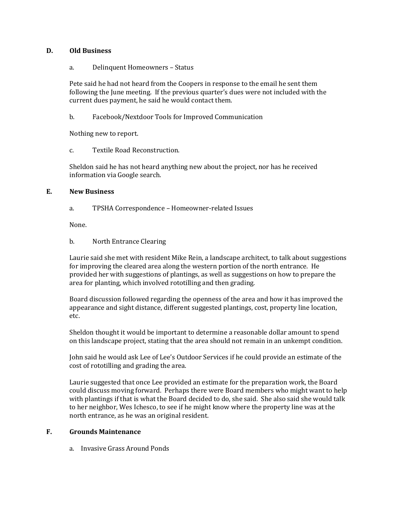### **D. Old Business**

#### a. Delinquent Homeowners – Status

Pete said he had not heard from the Coopers in response to the email he sent them following the June meeting. If the previous quarter's dues were not included with the current dues payment, he said he would contact them.

b. Facebook/Nextdoor Tools for Improved Communication

Nothing new to report.

c. Textile Road Reconstruction.

Sheldon said he has not heard anything new about the project, nor has he received information via Google search.

### **E. New Business**

a. TPSHA Correspondence – Homeowner-related Issues

None.

b. North Entrance Clearing

Laurie said she met with resident Mike Rein, a landscape architect, to talk about suggestions for improving the cleared area along the western portion of the north entrance. He provided her with suggestions of plantings, as well as suggestions on how to prepare the area for planting, which involved rototilling and then grading.

Board discussion followed regarding the openness of the area and how it has improved the appearance and sight distance, different suggested plantings, cost, property line location, etc.

Sheldon thought it would be important to determine a reasonable dollar amount to spend on this landscape project, stating that the area should not remain in an unkempt condition.

John said he would ask Lee of Lee's Outdoor Services if he could provide an estimate of the cost of rototilling and grading the area.

Laurie suggested that once Lee provided an estimate for the preparation work, the Board could discuss moving forward. Perhaps there were Board members who might want to help with plantings if that is what the Board decided to do, she said. She also said she would talk to her neighbor, Wes Ichesco, to see if he might know where the property line was at the north entrance, as he was an original resident.

# **F. Grounds Maintenance**

a. Invasive Grass Around Ponds